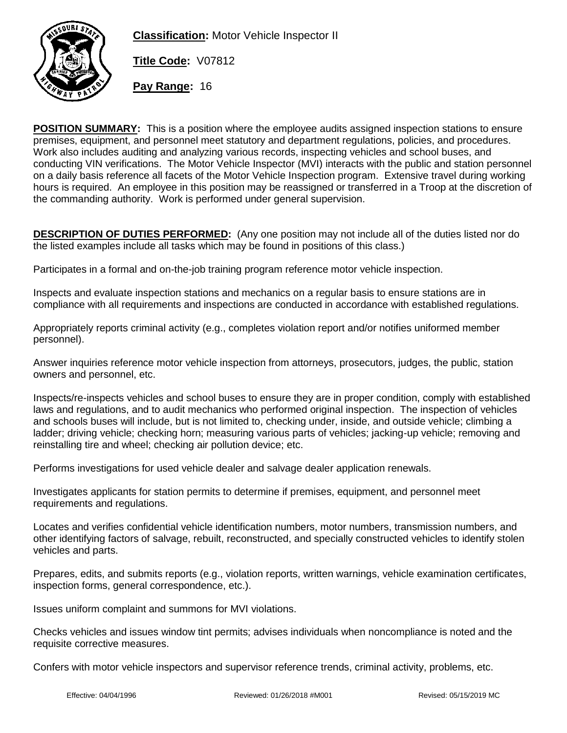

**Classification:** Motor Vehicle Inspector II

**Title Code:** V07812

**Pay Range:** 16

**POSITION SUMMARY:** This is a position where the employee audits assigned inspection stations to ensure premises, equipment, and personnel meet statutory and department regulations, policies, and procedures. Work also includes auditing and analyzing various records, inspecting vehicles and school buses, and conducting VIN verifications. The Motor Vehicle Inspector (MVI) interacts with the public and station personnel on a daily basis reference all facets of the Motor Vehicle Inspection program. Extensive travel during working hours is required. An employee in this position may be reassigned or transferred in a Troop at the discretion of the commanding authority. Work is performed under general supervision.

**DESCRIPTION OF DUTIES PERFORMED:** (Any one position may not include all of the duties listed nor do the listed examples include all tasks which may be found in positions of this class.)

Participates in a formal and on-the-job training program reference motor vehicle inspection.

Inspects and evaluate inspection stations and mechanics on a regular basis to ensure stations are in compliance with all requirements and inspections are conducted in accordance with established regulations.

Appropriately reports criminal activity (e.g., completes violation report and/or notifies uniformed member personnel).

Answer inquiries reference motor vehicle inspection from attorneys, prosecutors, judges, the public, station owners and personnel, etc.

Inspects/re-inspects vehicles and school buses to ensure they are in proper condition, comply with established laws and regulations, and to audit mechanics who performed original inspection. The inspection of vehicles and schools buses will include, but is not limited to, checking under, inside, and outside vehicle; climbing a ladder; driving vehicle; checking horn; measuring various parts of vehicles; jacking-up vehicle; removing and reinstalling tire and wheel; checking air pollution device; etc.

Performs investigations for used vehicle dealer and salvage dealer application renewals.

Investigates applicants for station permits to determine if premises, equipment, and personnel meet requirements and regulations.

Locates and verifies confidential vehicle identification numbers, motor numbers, transmission numbers, and other identifying factors of salvage, rebuilt, reconstructed, and specially constructed vehicles to identify stolen vehicles and parts.

Prepares, edits, and submits reports (e.g., violation reports, written warnings, vehicle examination certificates, inspection forms, general correspondence, etc.).

Issues uniform complaint and summons for MVI violations.

Checks vehicles and issues window tint permits; advises individuals when noncompliance is noted and the requisite corrective measures.

Confers with motor vehicle inspectors and supervisor reference trends, criminal activity, problems, etc.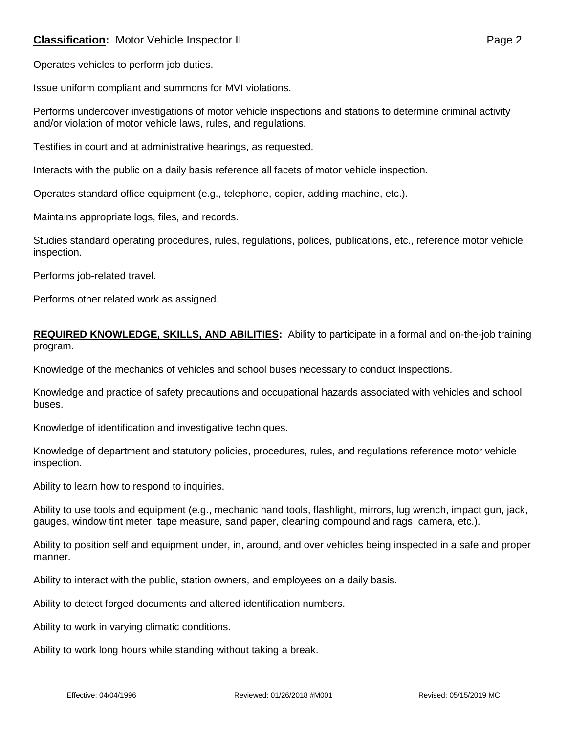# **Classification:** Motor Vehicle Inspector II **Classification:** Page 2

Issue uniform compliant and summons for MVI violations.

Performs undercover investigations of motor vehicle inspections and stations to determine criminal activity and/or violation of motor vehicle laws, rules, and regulations.

Testifies in court and at administrative hearings, as requested.

Interacts with the public on a daily basis reference all facets of motor vehicle inspection.

Operates standard office equipment (e.g., telephone, copier, adding machine, etc.).

Maintains appropriate logs, files, and records.

Studies standard operating procedures, rules, regulations, polices, publications, etc., reference motor vehicle inspection.

Performs job-related travel.

Performs other related work as assigned.

#### **REQUIRED KNOWLEDGE, SKILLS, AND ABILITIES:** Ability to participate in a formal and on-the-job training program.

Knowledge of the mechanics of vehicles and school buses necessary to conduct inspections.

Knowledge and practice of safety precautions and occupational hazards associated with vehicles and school buses.

Knowledge of identification and investigative techniques.

Knowledge of department and statutory policies, procedures, rules, and regulations reference motor vehicle inspection.

Ability to learn how to respond to inquiries.

Ability to use tools and equipment (e.g., mechanic hand tools, flashlight, mirrors, lug wrench, impact gun, jack, gauges, window tint meter, tape measure, sand paper, cleaning compound and rags, camera, etc.).

Ability to position self and equipment under, in, around, and over vehicles being inspected in a safe and proper manner.

Ability to interact with the public, station owners, and employees on a daily basis.

Ability to detect forged documents and altered identification numbers.

Ability to work in varying climatic conditions.

Ability to work long hours while standing without taking a break.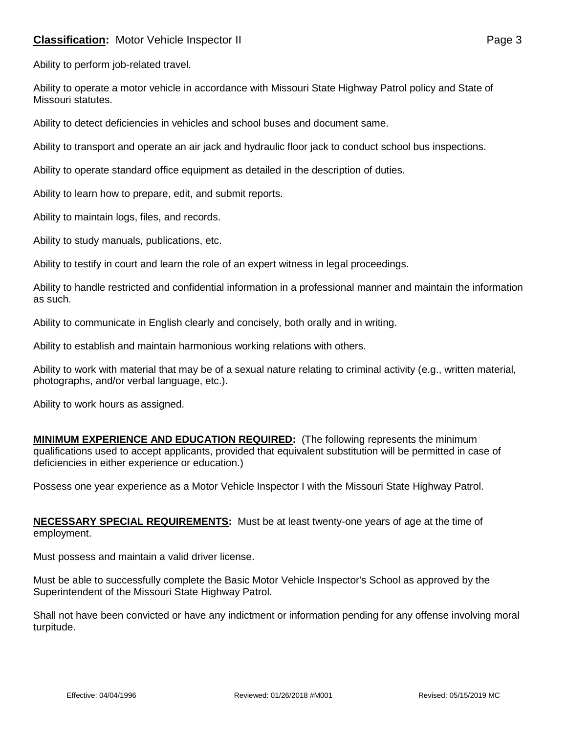# **Classification:** Motor Vehicle Inspector II **Classification:** Page 3

Ability to perform job-related travel.

Ability to operate a motor vehicle in accordance with Missouri State Highway Patrol policy and State of Missouri statutes.

Ability to detect deficiencies in vehicles and school buses and document same.

Ability to transport and operate an air jack and hydraulic floor jack to conduct school bus inspections.

Ability to operate standard office equipment as detailed in the description of duties.

Ability to learn how to prepare, edit, and submit reports.

Ability to maintain logs, files, and records.

Ability to study manuals, publications, etc.

Ability to testify in court and learn the role of an expert witness in legal proceedings.

Ability to handle restricted and confidential information in a professional manner and maintain the information as such.

Ability to communicate in English clearly and concisely, both orally and in writing.

Ability to establish and maintain harmonious working relations with others.

Ability to work with material that may be of a sexual nature relating to criminal activity (e.g., written material, photographs, and/or verbal language, etc.).

Ability to work hours as assigned.

**MINIMUM EXPERIENCE AND EDUCATION REQUIRED:** (The following represents the minimum qualifications used to accept applicants, provided that equivalent substitution will be permitted in case of deficiencies in either experience or education.)

Possess one year experience as a Motor Vehicle Inspector I with the Missouri State Highway Patrol.

**NECESSARY SPECIAL REQUIREMENTS:** Must be at least twenty-one years of age at the time of employment.

Must possess and maintain a valid driver license.

Must be able to successfully complete the Basic Motor Vehicle Inspector's School as approved by the Superintendent of the Missouri State Highway Patrol.

Shall not have been convicted or have any indictment or information pending for any offense involving moral turpitude.